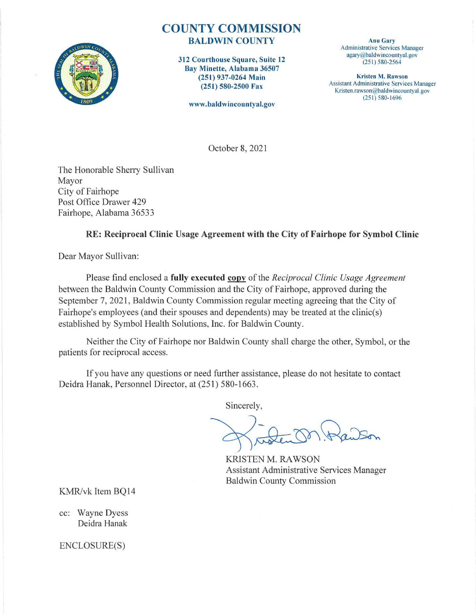

# COUNTY COMMISSION BALDWIN COUNTY Anu Gary

312 Courthouse Square, Suite 12 Bay Minette, Alabama 36507 (251) 937-0264 Main (251) 580-2500 Fax

www.baldwincountyal.gov

Administrative Services Manager agary@baldwincountyal.gov (25 1) 580-2564

Kristen M. Rawson Assistant Administrative Services Manager Kristen.rawson@baldwincountyal.gov (25 1) 580- 1696

October 8, 2021

The Honorable Sherry Sullivan Mayor City of Fairhope Post Office Drawer 429 Fairhope, Alabama 36533

### RE: Reciprocal Clinic Usage Agreement with the City of Fairhope for Symbol Clinic

Dear Mayor Sullivan:

Please find enclosed a **fully executed copy** of the *Reciprocal Clinic Usage Agreement* between the Baldwin County Commission and the City of Fairhope, approved during the September 7, 2021, Baldwin County Commission regular meeting agreeing that the City of Fairhope's employees (and their spouses and dependents) may be treated at the clinic(s) established by Symbol Health Solutions, Inc. for Baldwin County.

Neither the City of Fairhope nor Baldwin County shall charge the other, Symbol, or the patients for reciprocal access.

If you have any questions or need further assistance, please do not hesitate to contact Deidra Hanak, Personnel Director, at (251) 580-1663.

Sincerely,

KRISTEN M. RAWSON Assistant Administrative Services Manager Baldwin County Commission

KMR/vk Item BQ14

cc: Wayne Dyess Deidra Hanak

ENCLOSURE(S)